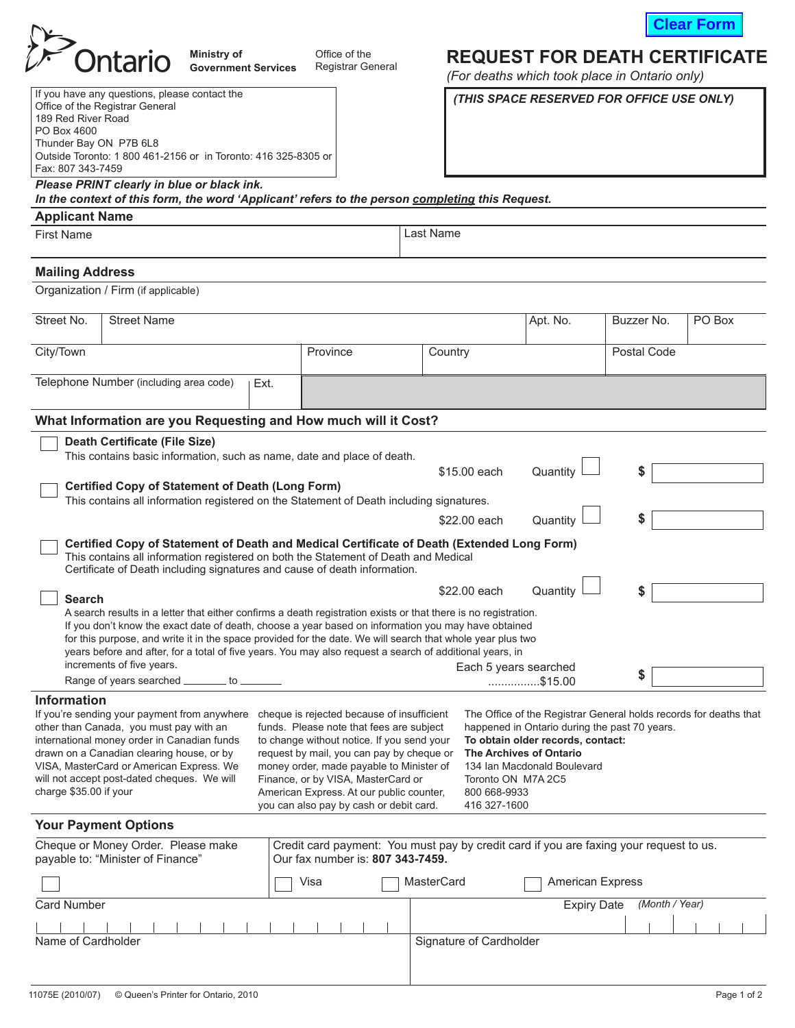

**REQUEST FOR DEATH CERTIFICATE**

 *(THIS SPACE RESERVED FOR OFFICE USE ONLY)*

*(For deaths which took place in Ontario only)*

| Ontario | <b>Ministry of</b>         | )ffice |
|---------|----------------------------|--------|
|         | <b>Government Services</b> | Regis  |

of the

# strar General

| If you have any questions, please contact the                  |
|----------------------------------------------------------------|
| Office of the Registrar General                                |
| 189 Red River Road                                             |
| PO Box 4600                                                    |
| Thunder Bay ON P7B 6L8                                         |
| Outside Toronto: 1 800 461-2156 or in Toronto: 416 325-8305 or |
| Fax: 807 343-7459                                              |
|                                                                |

## *Please PRINT clearly in blue or black ink.*

*In the context of this form, the word 'Applicant' refers to the person completing this Request.* 

### **Applicant Name**

First Name

# Last Name

### **Mailing Address**

Organization / Firm (if applicable)

| <b>Street Name</b><br>Apt. No.<br>Buzzer No.<br>PO Box<br>Postal Code<br>Province<br>Country<br>Telephone Number (including area code)<br>Ext.<br>What Information are you Requesting and How much will it Cost?<br><b>Death Certificate (File Size)</b><br>This contains basic information, such as name, date and place of death.<br>\$15,00 each<br>Quantity<br>\$<br><b>Certified Copy of Statement of Death (Long Form)</b><br>This contains all information registered on the Statement of Death including signatures.<br>S<br>Quantity<br>\$22,00 each<br>Certified Copy of Statement of Death and Medical Certificate of Death (Extended Long Form)<br>This contains all information registered on both the Statement of Death and Medical<br>Certificate of Death including signatures and cause of death information.<br>\$22.00 each<br>Quantity<br>\$<br><b>Search</b><br>A search results in a letter that either confirms a death registration exists or that there is no registration.<br>If you don't know the exact date of death, choose a year based on information you may have obtained<br>for this purpose, and write it in the space provided for the date. We will search that whole year plus two<br>years before and after, for a total of five years. You may also request a search of additional years, in<br>increments of five years.<br>Each 5 years searched<br>\$<br>Range of years searched _______ to _______<br>\$15.00<br><b>Information</b><br>If you're sending your payment from anywhere<br>cheque is rejected because of insufficient<br>The Office of the Registrar General holds records for deaths that<br>other than Canada, you must pay with an<br>funds. Please note that fees are subject<br>happened in Ontario during the past 70 years.<br>international money order in Canadian funds<br>to change without notice. If you send your<br>To obtain older records, contact:<br>drawn on a Canadian clearing house, or by<br>request by mail, you can pay by cheque or<br>The Archives of Ontario<br>money order, made payable to Minister of<br>VISA, MasterCard or American Express. We<br>134 Ian Macdonald Boulevard<br>will not accept post-dated cheques. We will<br>Finance, or by VISA, MasterCard or<br>Toronto ON M7A 2C5<br>charge \$35.00 if your<br>American Express. At our public counter,<br>800 668-9933<br>416 327-1600<br>you can also pay by cash or debit card.<br><b>Your Payment Options</b><br>Cheque or Money Order. Please make<br>Credit card payment: You must pay by credit card if you are faxing your request to us.<br>payable to: "Minister of Finance"<br>Our fax number is: 807 343-7459.<br>Visa<br><b>MasterCard</b><br><b>American Express</b><br>(Month / Year)<br><b>Expiry Date</b><br><b>Card Number</b><br>Name of Cardholder<br>Signature of Cardholder |            |  |  |  |  |  |
|-------------------------------------------------------------------------------------------------------------------------------------------------------------------------------------------------------------------------------------------------------------------------------------------------------------------------------------------------------------------------------------------------------------------------------------------------------------------------------------------------------------------------------------------------------------------------------------------------------------------------------------------------------------------------------------------------------------------------------------------------------------------------------------------------------------------------------------------------------------------------------------------------------------------------------------------------------------------------------------------------------------------------------------------------------------------------------------------------------------------------------------------------------------------------------------------------------------------------------------------------------------------------------------------------------------------------------------------------------------------------------------------------------------------------------------------------------------------------------------------------------------------------------------------------------------------------------------------------------------------------------------------------------------------------------------------------------------------------------------------------------------------------------------------------------------------------------------------------------------------------------------------------------------------------------------------------------------------------------------------------------------------------------------------------------------------------------------------------------------------------------------------------------------------------------------------------------------------------------------------------------------------------------------------------------------------------------------------------------------------------------------------------------------------------------------------------------------------------------------------------------------------------------------------------------------------------------------------------------------------------------------------------------------------------------------------------------------------------------------------------------------------------------------------------------------------------------------------------------|------------|--|--|--|--|--|
|                                                                                                                                                                                                                                                                                                                                                                                                                                                                                                                                                                                                                                                                                                                                                                                                                                                                                                                                                                                                                                                                                                                                                                                                                                                                                                                                                                                                                                                                                                                                                                                                                                                                                                                                                                                                                                                                                                                                                                                                                                                                                                                                                                                                                                                                                                                                                                                                                                                                                                                                                                                                                                                                                                                                                                                                                                                       | Street No. |  |  |  |  |  |
|                                                                                                                                                                                                                                                                                                                                                                                                                                                                                                                                                                                                                                                                                                                                                                                                                                                                                                                                                                                                                                                                                                                                                                                                                                                                                                                                                                                                                                                                                                                                                                                                                                                                                                                                                                                                                                                                                                                                                                                                                                                                                                                                                                                                                                                                                                                                                                                                                                                                                                                                                                                                                                                                                                                                                                                                                                                       | City/Town  |  |  |  |  |  |
|                                                                                                                                                                                                                                                                                                                                                                                                                                                                                                                                                                                                                                                                                                                                                                                                                                                                                                                                                                                                                                                                                                                                                                                                                                                                                                                                                                                                                                                                                                                                                                                                                                                                                                                                                                                                                                                                                                                                                                                                                                                                                                                                                                                                                                                                                                                                                                                                                                                                                                                                                                                                                                                                                                                                                                                                                                                       |            |  |  |  |  |  |
|                                                                                                                                                                                                                                                                                                                                                                                                                                                                                                                                                                                                                                                                                                                                                                                                                                                                                                                                                                                                                                                                                                                                                                                                                                                                                                                                                                                                                                                                                                                                                                                                                                                                                                                                                                                                                                                                                                                                                                                                                                                                                                                                                                                                                                                                                                                                                                                                                                                                                                                                                                                                                                                                                                                                                                                                                                                       |            |  |  |  |  |  |
|                                                                                                                                                                                                                                                                                                                                                                                                                                                                                                                                                                                                                                                                                                                                                                                                                                                                                                                                                                                                                                                                                                                                                                                                                                                                                                                                                                                                                                                                                                                                                                                                                                                                                                                                                                                                                                                                                                                                                                                                                                                                                                                                                                                                                                                                                                                                                                                                                                                                                                                                                                                                                                                                                                                                                                                                                                                       |            |  |  |  |  |  |
|                                                                                                                                                                                                                                                                                                                                                                                                                                                                                                                                                                                                                                                                                                                                                                                                                                                                                                                                                                                                                                                                                                                                                                                                                                                                                                                                                                                                                                                                                                                                                                                                                                                                                                                                                                                                                                                                                                                                                                                                                                                                                                                                                                                                                                                                                                                                                                                                                                                                                                                                                                                                                                                                                                                                                                                                                                                       |            |  |  |  |  |  |
|                                                                                                                                                                                                                                                                                                                                                                                                                                                                                                                                                                                                                                                                                                                                                                                                                                                                                                                                                                                                                                                                                                                                                                                                                                                                                                                                                                                                                                                                                                                                                                                                                                                                                                                                                                                                                                                                                                                                                                                                                                                                                                                                                                                                                                                                                                                                                                                                                                                                                                                                                                                                                                                                                                                                                                                                                                                       |            |  |  |  |  |  |
|                                                                                                                                                                                                                                                                                                                                                                                                                                                                                                                                                                                                                                                                                                                                                                                                                                                                                                                                                                                                                                                                                                                                                                                                                                                                                                                                                                                                                                                                                                                                                                                                                                                                                                                                                                                                                                                                                                                                                                                                                                                                                                                                                                                                                                                                                                                                                                                                                                                                                                                                                                                                                                                                                                                                                                                                                                                       |            |  |  |  |  |  |
|                                                                                                                                                                                                                                                                                                                                                                                                                                                                                                                                                                                                                                                                                                                                                                                                                                                                                                                                                                                                                                                                                                                                                                                                                                                                                                                                                                                                                                                                                                                                                                                                                                                                                                                                                                                                                                                                                                                                                                                                                                                                                                                                                                                                                                                                                                                                                                                                                                                                                                                                                                                                                                                                                                                                                                                                                                                       |            |  |  |  |  |  |
|                                                                                                                                                                                                                                                                                                                                                                                                                                                                                                                                                                                                                                                                                                                                                                                                                                                                                                                                                                                                                                                                                                                                                                                                                                                                                                                                                                                                                                                                                                                                                                                                                                                                                                                                                                                                                                                                                                                                                                                                                                                                                                                                                                                                                                                                                                                                                                                                                                                                                                                                                                                                                                                                                                                                                                                                                                                       |            |  |  |  |  |  |
|                                                                                                                                                                                                                                                                                                                                                                                                                                                                                                                                                                                                                                                                                                                                                                                                                                                                                                                                                                                                                                                                                                                                                                                                                                                                                                                                                                                                                                                                                                                                                                                                                                                                                                                                                                                                                                                                                                                                                                                                                                                                                                                                                                                                                                                                                                                                                                                                                                                                                                                                                                                                                                                                                                                                                                                                                                                       |            |  |  |  |  |  |
|                                                                                                                                                                                                                                                                                                                                                                                                                                                                                                                                                                                                                                                                                                                                                                                                                                                                                                                                                                                                                                                                                                                                                                                                                                                                                                                                                                                                                                                                                                                                                                                                                                                                                                                                                                                                                                                                                                                                                                                                                                                                                                                                                                                                                                                                                                                                                                                                                                                                                                                                                                                                                                                                                                                                                                                                                                                       |            |  |  |  |  |  |
|                                                                                                                                                                                                                                                                                                                                                                                                                                                                                                                                                                                                                                                                                                                                                                                                                                                                                                                                                                                                                                                                                                                                                                                                                                                                                                                                                                                                                                                                                                                                                                                                                                                                                                                                                                                                                                                                                                                                                                                                                                                                                                                                                                                                                                                                                                                                                                                                                                                                                                                                                                                                                                                                                                                                                                                                                                                       |            |  |  |  |  |  |
|                                                                                                                                                                                                                                                                                                                                                                                                                                                                                                                                                                                                                                                                                                                                                                                                                                                                                                                                                                                                                                                                                                                                                                                                                                                                                                                                                                                                                                                                                                                                                                                                                                                                                                                                                                                                                                                                                                                                                                                                                                                                                                                                                                                                                                                                                                                                                                                                                                                                                                                                                                                                                                                                                                                                                                                                                                                       |            |  |  |  |  |  |
|                                                                                                                                                                                                                                                                                                                                                                                                                                                                                                                                                                                                                                                                                                                                                                                                                                                                                                                                                                                                                                                                                                                                                                                                                                                                                                                                                                                                                                                                                                                                                                                                                                                                                                                                                                                                                                                                                                                                                                                                                                                                                                                                                                                                                                                                                                                                                                                                                                                                                                                                                                                                                                                                                                                                                                                                                                                       |            |  |  |  |  |  |
|                                                                                                                                                                                                                                                                                                                                                                                                                                                                                                                                                                                                                                                                                                                                                                                                                                                                                                                                                                                                                                                                                                                                                                                                                                                                                                                                                                                                                                                                                                                                                                                                                                                                                                                                                                                                                                                                                                                                                                                                                                                                                                                                                                                                                                                                                                                                                                                                                                                                                                                                                                                                                                                                                                                                                                                                                                                       |            |  |  |  |  |  |
|                                                                                                                                                                                                                                                                                                                                                                                                                                                                                                                                                                                                                                                                                                                                                                                                                                                                                                                                                                                                                                                                                                                                                                                                                                                                                                                                                                                                                                                                                                                                                                                                                                                                                                                                                                                                                                                                                                                                                                                                                                                                                                                                                                                                                                                                                                                                                                                                                                                                                                                                                                                                                                                                                                                                                                                                                                                       |            |  |  |  |  |  |
|                                                                                                                                                                                                                                                                                                                                                                                                                                                                                                                                                                                                                                                                                                                                                                                                                                                                                                                                                                                                                                                                                                                                                                                                                                                                                                                                                                                                                                                                                                                                                                                                                                                                                                                                                                                                                                                                                                                                                                                                                                                                                                                                                                                                                                                                                                                                                                                                                                                                                                                                                                                                                                                                                                                                                                                                                                                       |            |  |  |  |  |  |
|                                                                                                                                                                                                                                                                                                                                                                                                                                                                                                                                                                                                                                                                                                                                                                                                                                                                                                                                                                                                                                                                                                                                                                                                                                                                                                                                                                                                                                                                                                                                                                                                                                                                                                                                                                                                                                                                                                                                                                                                                                                                                                                                                                                                                                                                                                                                                                                                                                                                                                                                                                                                                                                                                                                                                                                                                                                       |            |  |  |  |  |  |